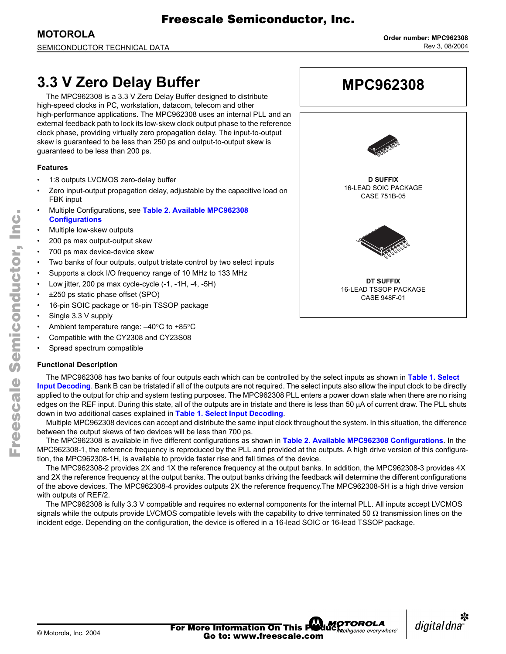# **3.3 V Zero Delay Buffer**

The MPC962308 is a 3.3 V Zero Delay Buffer designed to distribute high-speed clocks in PC, workstation, datacom, telecom and other high-performance applications. The MPC962308 uses an internal PLL and an external feedback path to lock its low-skew clock output phase to the reference clock phase, providing virtually zero propagation delay. The input-to-output skew is guaranteed to be less than 250 ps and output-to-output skew is guaranteed to be less than 200 ps.

## **Features**

- 1:8 outputs LVCMOS zero-delay buffer
- Zero input-output propagation delay, adjustable by the capacitive load on FBK input
- ï Multiple Configurations, see **[Table 2. Available MPC962308](#page-1-0)  [Configurations](#page-1-0)**
- Multiple low-skew outputs
- 200 ps max output-output skew
- 700 ps max device-device skew
- Two banks of four outputs, output tristate control by two select inputs
- Supports a clock I/O frequency range of 10 MHz to 133 MHz
- Low jitter, 200 ps max cycle-cycle (-1, -1H, -4, -5H)
- ±250 ps static phase offset (SPO)
- 16-pin SOIC package or 16-pin TSSOP package
- Single 3.3 V supply
- Ambient temperature range:  $-40^{\circ}$ C to +85°C
- Compatible with the CY2308 and CY23S08
- Spread spectrum compatible

### **Functional Description**

The MPC962308 has two banks of four outputs each which can be controlled by the select inputs as shown in **[Table 1. Select](#page-1-1)  [Input Decoding](#page-1-1)**. Bank B can be tristated if all of the outputs are not required. The select inputs also allow the input clock to be directly applied to the output for chip and system testing purposes. The MPC962308 PLL enters a power down state when there are no rising edges on the REF input. During this state, all of the outputs are in tristate and there is less than 50 µA of current draw. The PLL shuts down in two additional cases explained in **[Table 1. Select Input Decoding](#page-1-1)**.

 Freescale Semiconductor, Inc.

Multiple MPC962308 devices can accept and distribute the same input clock throughout the system. In this situation, the difference between the output skews of two devices will be less than 700 ps.

The MPC962308 is available in five different configurations as shown in **[Table 2. Available MPC962308 Configurations](#page-1-0)**. In the MPC962308-1, the reference frequency is reproduced by the PLL and provided at the outputs. A high drive version of this configuration, the MPC962308-1H, is available to provide faster rise and fall times of the device.

The MPC962308-2 provides 2X and 1X the reference frequency at the output banks. In addition, the MPC962308-3 provides 4X and 2X the reference frequency at the output banks. The output banks driving the feedback will determine the different configurations of the above devices. The MPC962308-4 provides outputs 2X the reference frequency.The MPC962308-5H is a high drive version with outputs of REF/2.

The MPC962308 is fully 3.3 V compatible and requires no external components for the internal PLL. All inputs accept LVCMOS signals while the outputs provide LVCMOS compatible levels with the capability to drive terminated 50  $\Omega$  transmission lines on the incident edge. Depending on the configuration, the device is offered in a 16-lead SOIC or 16-lead TSSOP package.





n

.<br>ق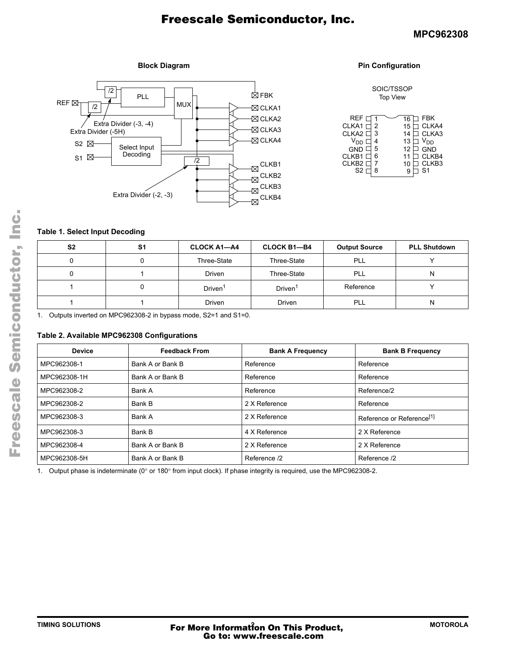## **MPC962308**

#### **Block Diagram**



#### **Pin Configuration**

#### SOIC/TSSOP Top View

| REF E<br>CLKA1 $\Box$ 2<br>CLKA2 □<br>-3<br>V <sub>DD</sub><br>GND <sup>I</sup><br>5<br>CLKB1 <sup>[</sup><br>CLKB <sub>2</sub><br>S <sub>2</sub> | <b>FBK</b><br>CLKA4<br>15 <sup>1</sup><br>CLKA3<br>V <sub>DD</sub><br>13<br><b>GND</b><br>12<br>CLKB4<br>11<br>CLKB3<br>S <sub>1</sub> |
|---------------------------------------------------------------------------------------------------------------------------------------------------|----------------------------------------------------------------------------------------------------------------------------------------|
|---------------------------------------------------------------------------------------------------------------------------------------------------|----------------------------------------------------------------------------------------------------------------------------------------|

# <span id="page-1-1"></span>**Table 1. Select Input Decoding**

| S <sub>2</sub> | S1 | <b>CLOCK A1-A4</b>  | <b>CLOCK B1-B4</b>  | <b>Output Source</b> | <b>PLL Shutdown</b> |
|----------------|----|---------------------|---------------------|----------------------|---------------------|
|                |    | Three-State         | Three-State         | PLL                  |                     |
|                |    | <b>Driven</b>       | Three-State         | PLL                  | N                   |
|                |    | Driven <sup>1</sup> | Driven <sup>1</sup> | Reference            |                     |
|                |    | Driven              | Driven              | PLL                  | N                   |

1. Outputs inverted on MPC962308-2 in bypass mode, S2=1 and S1=0.

### <span id="page-1-0"></span>**Table 2. Available MPC962308 Configurations**

| <b>Device</b> | <b>Feedback From</b> | <b>Bank A Frequency</b> | <b>Bank B Frequency</b>               |
|---------------|----------------------|-------------------------|---------------------------------------|
| MPC962308-1   | Bank A or Bank B     | Reference               | Reference                             |
| MPC962308-1H  | Bank A or Bank B     | Reference               | Reference                             |
| MPC962308-2   | Bank A               | Reference               | Reference/2                           |
| MPC962308-2   | Bank B               | 2 X Reference           | Reference                             |
| MPC962308-3   | Bank A               | 2 X Reference           | Reference or Reference <sup>[1]</sup> |
| MPC962308-3   | Bank B               | 4 X Reference           | 2 X Reference                         |
| MPC962308-4   | Bank A or Bank B     | 2 X Reference           | 2 X Reference                         |
| MPC962308-5H  | Bank A or Bank B     | Reference /2            | Reference /2                          |

1. Output phase is indeterminate (0° or 180° from input clock). If phase integrity is required, use the MPC962308-2.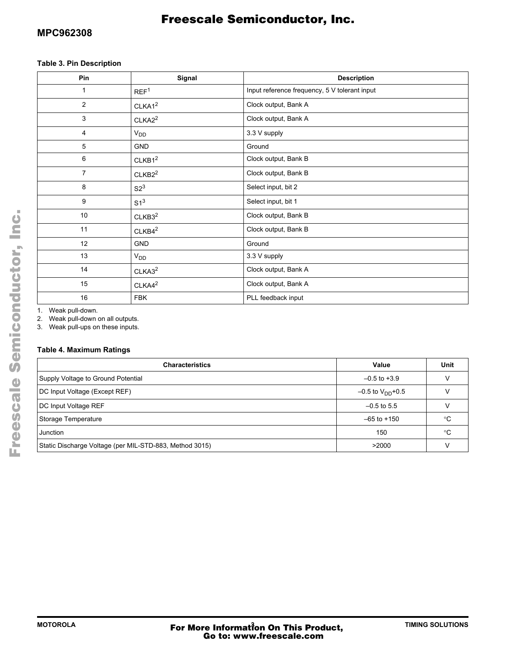# **MPC962308**

# Freescale Semiconductor, Inc.

## **Table 3. Pin Description**

| Pin             | Signal             | <b>Description</b>                            |
|-----------------|--------------------|-----------------------------------------------|
| 1               | REF <sup>1</sup>   | Input reference frequency, 5 V tolerant input |
| $\overline{2}$  | CLKA1 <sup>2</sup> | Clock output, Bank A                          |
| 3               | CLKA2 <sup>2</sup> | Clock output, Bank A                          |
| 4               | $V_{DD}$           | 3.3 V supply                                  |
| 5               | <b>GND</b>         | Ground                                        |
| 6               | CLKB1 <sup>2</sup> | Clock output, Bank B                          |
| $\overline{7}$  | CLKB2 <sup>2</sup> | Clock output, Bank B                          |
| 8               | S2 <sup>3</sup>    | Select input, bit 2                           |
| 9               | S1 <sup>3</sup>    | Select input, bit 1                           |
| 10 <sup>°</sup> | CLKB3 <sup>2</sup> | Clock output, Bank B                          |
| 11              | CLKB4 <sup>2</sup> | Clock output, Bank B                          |
| 12              | GND                | Ground                                        |
| 13              | V <sub>DD</sub>    | 3.3 V supply                                  |
| 14              | CLKA3 <sup>2</sup> | Clock output, Bank A                          |
| 15              | CLKAA <sup>2</sup> | Clock output, Bank A                          |
| 16              | <b>FBK</b>         | PLL feedback input                            |

1. Weak pull-down.

2. Weak pull-down on all outputs.

3. Weak pull-ups on these inputs.

# **Table 4. Maximum Ratings**

| <b>Characteristics</b>                                  | Value                          | Unit |
|---------------------------------------------------------|--------------------------------|------|
| Supply Voltage to Ground Potential                      | $-0.5$ to $+3.9$               |      |
| DC Input Voltage (Except REF)                           | $-0.5$ to V <sub>DD</sub> +0.5 |      |
| DC Input Voltage REF                                    | $-0.5$ to 5.5                  |      |
| Storage Temperature                                     | $-65$ to $+150$                | °C   |
| Junction                                                | 150                            | °C   |
| Static Discharge Voltage (per MIL-STD-883, Method 3015) | >2000                          |      |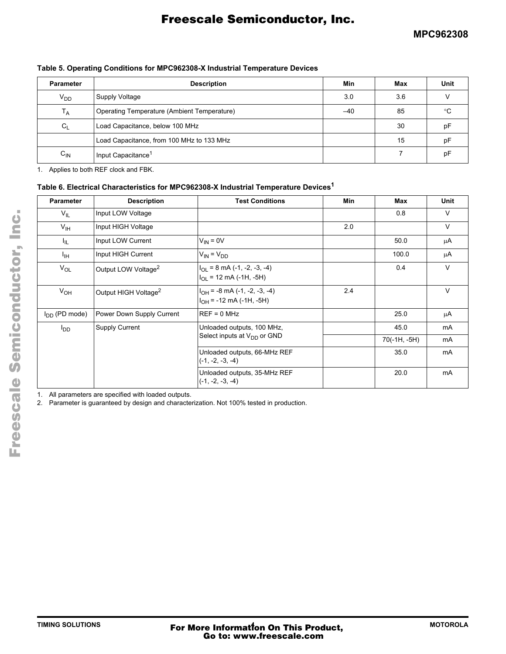|  | Table 5. Operating Conditions for MPC962308-X Industrial Temperature Devices |  |
|--|------------------------------------------------------------------------------|--|
|  |                                                                              |  |

| <b>Parameter</b> | <b>Description</b>                          | Min | Max | Unit |
|------------------|---------------------------------------------|-----|-----|------|
| V <sub>DD</sub>  | Supply Voltage                              | 3.0 | 3.6 |      |
| $T_A$            | Operating Temperature (Ambient Temperature) | -40 | 85  | °C   |
| C <sub>1</sub>   | Load Capacitance, below 100 MHz             |     | 30  | рF   |
|                  | Load Capacitance, from 100 MHz to 133 MHz   |     | 15  | рF   |
| $C_{IN}$         | Input Capacitance <sup>1</sup>              |     |     | рF   |

1. Applies to both REF clock and FBK.

### **Table 6. Electrical Characteristics for MPC962308-X Industrial Temperature Devices1**

| <b>Parameter</b>   | <b>Description</b>               | <b>Test Conditions</b>                                                 | Min | Max          | Unit           |
|--------------------|----------------------------------|------------------------------------------------------------------------|-----|--------------|----------------|
| $V_{IL}$           | Input LOW Voltage                |                                                                        |     | 0.8          | $\vee$         |
| $V_{\text{IH}}$    | Input HIGH Voltage               |                                                                        | 2.0 |              | $\vee$         |
| ΠL.                | Input LOW Current                | $V_{IN} = 0V$                                                          |     | 50.0         | μA             |
| $I_{\text{IH}}$    | Input HIGH Current               | $V_{IN} = V_{DD}$                                                      |     | 100.0        | μA             |
| $V_{OL}$           | Output LOW Voltage <sup>2</sup>  | $I_{\text{OI}}$ = 8 mA (-1, -2, -3, -4)<br>$I_{OL}$ = 12 mA (-1H, -5H) |     | 0.4          | V              |
| V <sub>OH</sub>    | Output HIGH Voltage <sup>2</sup> | $I_{OH}$ = -8 mA (-1, -2, -3, -4)<br>$I_{OH}$ = -12 mA (-1H, -5H)      | 2.4 |              | $\vee$         |
| $I_{DD}$ (PD mode) | Power Down Supply Current        | $REF = 0 MHz$                                                          |     | 25.0         | μA             |
| l <sub>DD</sub>    | <b>Supply Current</b>            | Unloaded outputs, 100 MHz,                                             |     | 45.0         | mA             |
|                    |                                  | Select inputs at $V_{DD}$ or GND                                       |     | 70(-1H, -5H) | mA             |
|                    |                                  | Unloaded outputs, 66-MHz REF<br>$(-1, -2, -3, -4)$                     |     | 35.0         | mA             |
|                    |                                  | Unloaded outputs, 35-MHz REF<br>$(-1, -2, -3, -4)$                     |     | 20.0         | m <sub>A</sub> |

1. All parameters are specified with loaded outputs.

2. Parameter is guaranteed by design and characterization. Not 100% tested in production.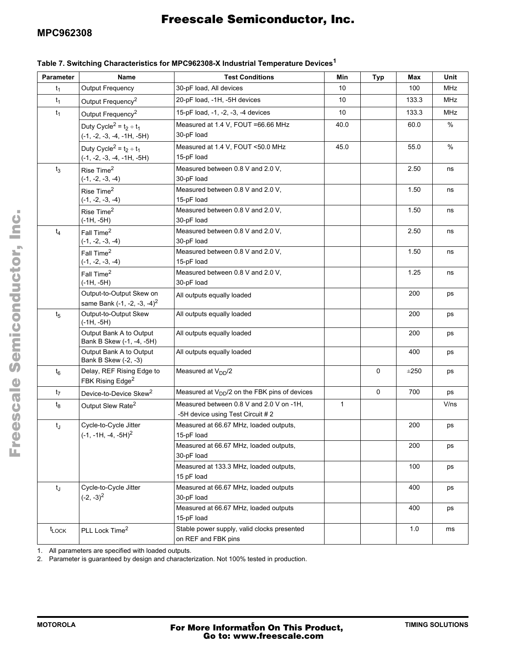# **MPC962308**

# Freescale Semiconductor, Inc.

# **Table 7. Switching Characteristics for MPC962308-X Industrial Temperature Devices<sup>1</sup>**

| <b>Parameter</b>  | Name                                                      | <b>Test Conditions</b>                              | Min          | <b>Typ</b>  | Max       | Unit       |
|-------------------|-----------------------------------------------------------|-----------------------------------------------------|--------------|-------------|-----------|------------|
| $t_1$             | <b>Output Frequency</b>                                   | 30-pF load, All devices                             | 10           |             | 100       | <b>MHz</b> |
| $t_1$             | Output Frequency <sup>2</sup>                             | 20-pF load, -1H, -5H devices                        | 10           |             | 133.3     | MHz        |
| $t_1$             | Output Frequency <sup>2</sup>                             | 15-pF load, -1, -2, -3, -4 devices                  | 10           |             | 133.3     | <b>MHz</b> |
|                   | Duty Cycle <sup>2</sup> = $t_2 \div t_1$                  | Measured at 1.4 V, FOUT = 66.66 MHz                 | 40.0         |             | 60.0      | $\%$       |
|                   | $(-1, -2, -3, -4, -1H, -5H)$                              | 30-pF load                                          |              |             |           |            |
|                   | Duty Cycle <sup>2</sup> = $t_2 \div t_1$                  | Measured at 1.4 V, FOUT <50.0 MHz                   | 45.0         |             | 55.0      | $\%$       |
|                   | $(-1, -2, -3, -4, -1H, -5H)$                              | 15-pF load                                          |              |             |           |            |
| $t_3$             | Rise Time <sup>2</sup>                                    | Measured between 0.8 V and 2.0 V,                   |              |             | 2.50      | ns         |
|                   | $(-1, -2, -3, -4)$                                        | 30-pF load                                          |              |             |           |            |
|                   | Rise Time <sup>2</sup>                                    | Measured between 0.8 V and 2.0 V,                   |              |             | 1.50      | ns         |
|                   | $(-1, -2, -3, -4)$                                        | 15-pF load                                          |              |             |           |            |
|                   | Rise Time <sup>2</sup><br>$(-1H, -5H)$                    | Measured between 0.8 V and 2.0 V,<br>30-pF load     |              |             | 1.50      | ns         |
| $t_4$             | Fall Time <sup>2</sup>                                    | Measured between 0.8 V and 2.0 V,                   |              |             | 2.50      | ns         |
|                   | $(-1, -2, -3, -4)$                                        | 30-pF load                                          |              |             |           |            |
|                   | Fall Time <sup>2</sup>                                    | Measured between 0.8 V and 2.0 V,                   |              |             | 1.50      | ns         |
|                   | $(-1, -2, -3, -4)$                                        | 15-pF load                                          |              |             |           |            |
|                   | Fall Time <sup>2</sup>                                    | Measured between 0.8 V and 2.0 V,                   |              |             | 1.25      | ns         |
|                   | $(-1H, -5H)$                                              | 30-pF load                                          |              |             |           |            |
|                   | Output-to-Output Skew on                                  | All outputs equally loaded                          |              |             | 200       | ps         |
|                   | same Bank $(-1, -2, -3, -4)^2$                            |                                                     |              |             |           |            |
| $t_5$             | Output-to-Output Skew<br>(-1H, -5H)                       | All outputs equally loaded                          |              |             | 200       | ps         |
|                   | Output Bank A to Output<br>Bank B Skew (-1, -4, -5H)      | All outputs equally loaded                          |              |             | 200       | ps         |
|                   | Output Bank A to Output<br>Bank B Skew (-2, -3)           | All outputs equally loaded                          |              |             | 400       | ps         |
| $t_6$             | Delay, REF Rising Edge to<br>FBK Rising Edge <sup>2</sup> | Measured at $V_{DD}/2$                              |              | 0           | $\pm 250$ | ps         |
| $t_7$             | Device-to-Device Skew <sup>2</sup>                        | Measured at $V_{DD}/2$ on the FBK pins of devices   |              | $\mathbf 0$ | 700       | ps         |
| $t_8$             | Output Slew Rate <sup>2</sup>                             | Measured between 0.8 V and 2.0 V on -1H,            | $\mathbf{1}$ |             |           | V/ns       |
|                   |                                                           | -5H device using Test Circuit # 2                   |              |             |           |            |
| $t_{J}$           | Cycle-to-Cycle Jitter                                     | Measured at 66.67 MHz, loaded outputs,              |              |             | 200       | ps         |
|                   | $(-1, -1H, -4, -5H)^2$                                    | 15-pF load                                          |              |             |           |            |
|                   |                                                           | Measured at 66.67 MHz, loaded outputs,              |              |             | 200       | ps         |
|                   |                                                           | 30-pF load                                          |              |             |           |            |
|                   |                                                           | Measured at 133.3 MHz, loaded outputs,              |              |             | 100       | ps         |
|                   |                                                           | 15 pF load                                          |              |             |           |            |
| $t_J$             | Cycle-to-Cycle Jitter<br>$(-2, -3)^2$                     | Measured at 66.67 MHz, loaded outputs               |              |             | 400       | ps         |
|                   |                                                           | 30-pF load<br>Measured at 66.67 MHz, loaded outputs |              |             | 400       |            |
|                   |                                                           | 15-pF load                                          |              |             |           | ps         |
| $t_{\text{LOCK}}$ | PLL Lock Time <sup>2</sup>                                | Stable power supply, valid clocks presented         |              |             | 1.0       | ms         |
|                   |                                                           | on REF and FBK pins                                 |              |             |           |            |

1. All parameters are specified with loaded outputs.

2. Parameter is guaranteed by design and characterization. Not 100% tested in production.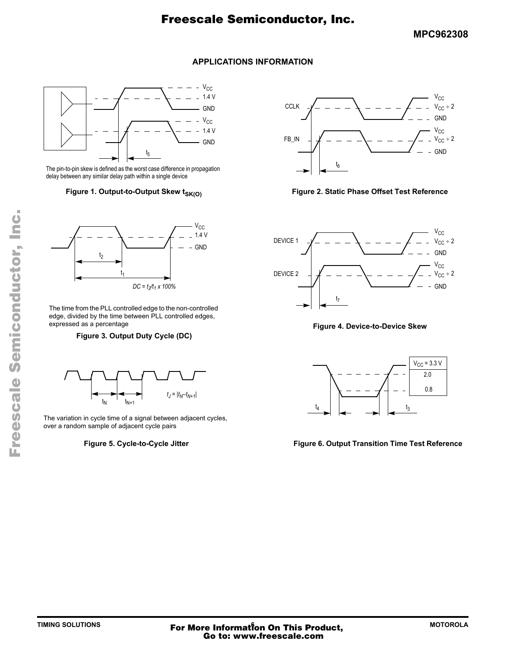## **MPC962308**

## **APPLICATIONS INFORMATION**



The pin-to-pin skew is defined as the worst case difference in propagation delay between any similar delay path within a single device



The time from the PLL controlled edge to the non-controlled edge, divided by the time between PLL controlled edges, expressed as a percentage

#### **Figure 3. Output Duty Cycle (DC)**



The variation in cycle time of a signal between adjacent cycles, over a random sample of adjacent cycle pairs

#### **Figure 5. Cycle-to-Cycle Jitter**



Figure 1. Output-to-Output Skew t<sub>SK(O)</sub> **Figure 2. Static Phase Offset Test Reference** 



**Figure 4. Device-to-Device Skew**



#### **Figure 6. Output Transition Time Test Reference**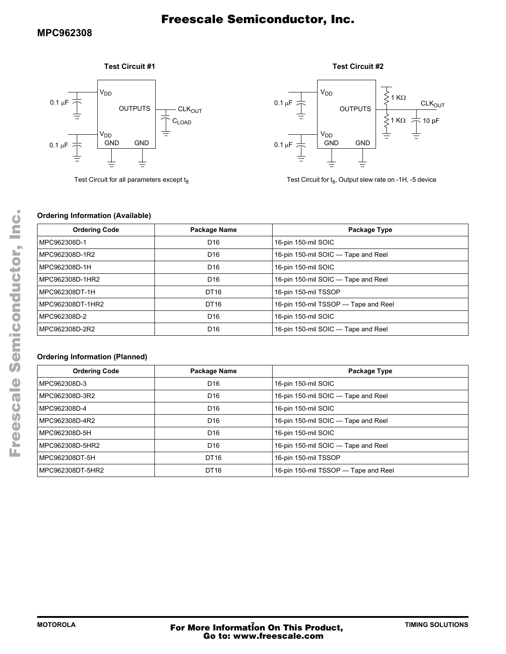## **Test Circuit #1**



Test Circuit for all parameters except  $t_8$ 





Test Circuit for  $t_8$ , Output slew rate on -1H, -5 device

### **Ordering Information (Available)**

| <b>Ordering Code</b> | Package Name    | Package Type                         |
|----------------------|-----------------|--------------------------------------|
| MPC962308D-1         | D <sub>16</sub> | 16-pin 150-mil SOIC                  |
| MPC962308D-1R2       | D <sub>16</sub> | 16-pin 150-mil SOIC - Tape and Reel  |
| MPC962308D-1H        | D <sub>16</sub> | 16-pin 150-mil SOIC                  |
| MPC962308D-1HR2      | D <sub>16</sub> | 16-pin 150-mil SOIC - Tape and Reel  |
| MPC962308DT-1H       | DT16            | 16-pin 150-mil TSSOP                 |
| MPC962308DT-1HR2     | DT16            | 16-pin 150-mil TSSOP - Tape and Reel |
| MPC962308D-2         | D <sub>16</sub> | 16-pin 150-mil SOIC                  |
| MPC962308D-2R2       | D <sub>16</sub> | 16-pin 150-mil SOIC - Tape and Reel  |

## **Ordering Information (Planned)**

| <b>Ordering Code</b> | Package Name    | Package Type                         |
|----------------------|-----------------|--------------------------------------|
| MPC962308D-3         | D <sub>16</sub> | 16-pin 150-mil SOIC                  |
| MPC962308D-3R2       | D <sub>16</sub> | 16-pin 150-mil SOIC — Tape and Reel  |
| MPC962308D-4         | D <sub>16</sub> | 16-pin 150-mil SOIC                  |
| MPC962308D-4R2       | D <sub>16</sub> | 16-pin 150-mil SOIC — Tape and Reel  |
| MPC962308D-5H        | D <sub>16</sub> | 16-pin 150-mil SOIC                  |
| MPC962308D-5HR2      | D <sub>16</sub> | 16-pin 150-mil SOIC - Tape and Reel  |
| MPC962308DT-5H       | DT16            | 16-pin 150-mil TSSOP                 |
| MPC962308DT-5HR2     | DT16            | 16-pin 150-mil TSSOP - Tape and Reel |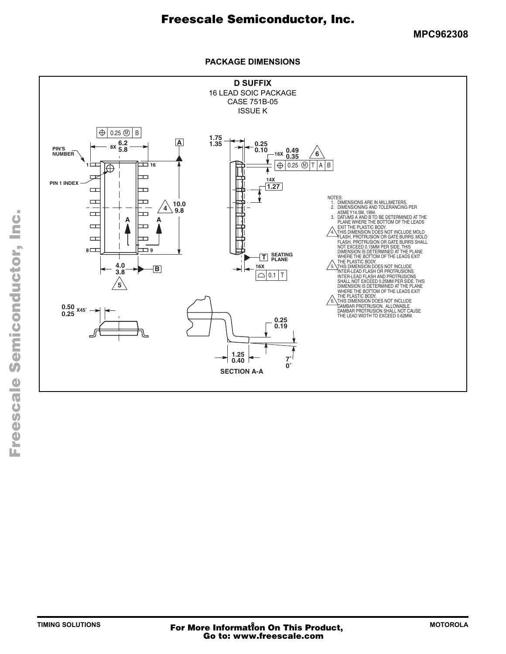**MPC962308**

### **PACKAGE DIMENSIONS**

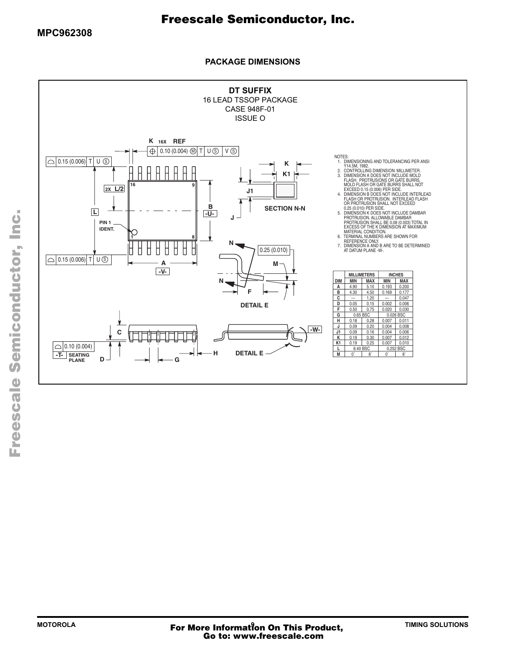**PACKAGE DIMENSIONS**

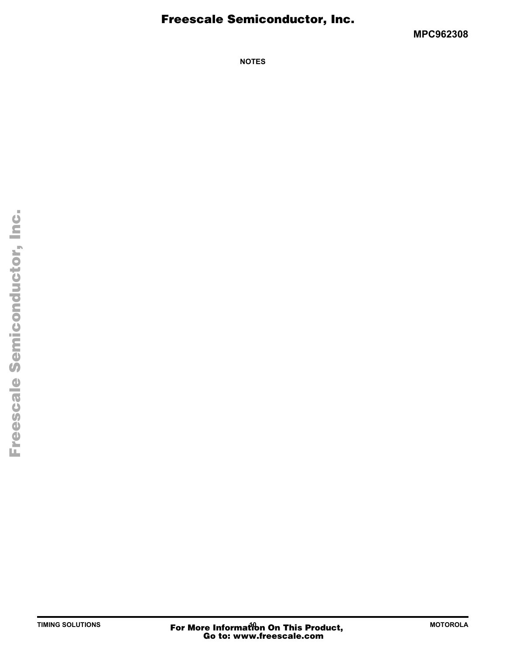**MPC962308**

**NOTES**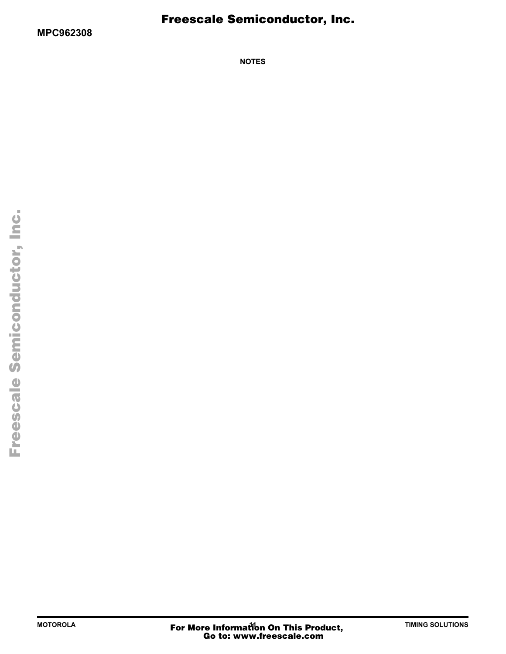**NOTES**